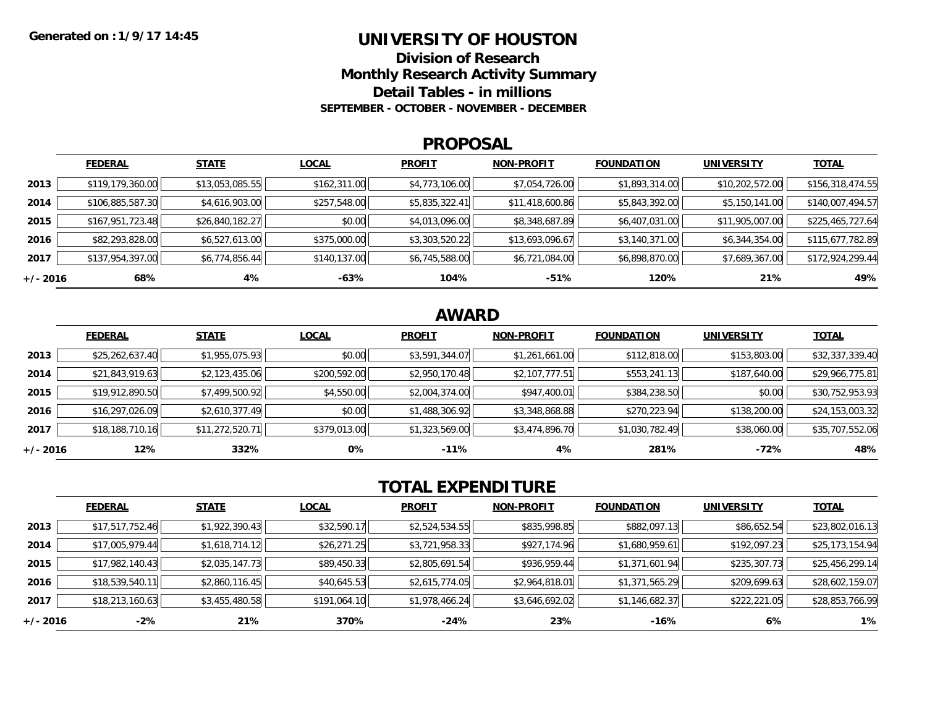### **UNIVERSITY OF HOUSTON**

**Division of ResearchMonthly Research Activity Summary**

**Detail Tables - in millions**

**SEPTEMBER - OCTOBER - NOVEMBER - DECEMBER**

#### **PROPOSAL**

|            | <b>FEDERAL</b>   | <b>STATE</b>    | <b>LOCAL</b> | <b>PROFIT</b>  | <b>NON-PROFIT</b> | <b>FOUNDATION</b> | <b>UNIVERSITY</b> | <b>TOTAL</b>     |
|------------|------------------|-----------------|--------------|----------------|-------------------|-------------------|-------------------|------------------|
| 2013       | \$119,179,360.00 | \$13,053,085.55 | \$162,311.00 | \$4,773,106.00 | \$7,054,726.00    | \$1,893,314.00    | \$10,202,572.00   | \$156,318,474.55 |
| 2014       | \$106,885,587.30 | \$4,616,903.00  | \$257,548.00 | \$5,835,322.41 | \$11,418,600.86   | \$5,843,392.00    | \$5,150,141.00    | \$140,007,494.57 |
| 2015       | \$167,951,723.48 | \$26,840,182.27 | \$0.00       | \$4,013,096.00 | \$8,348,687.89    | \$6,407,031.00    | \$11,905,007.00   | \$225,465,727.64 |
| 2016       | \$82,293,828.00  | \$6,527,613.00  | \$375,000.00 | \$3,303,520.22 | \$13,693,096.67   | \$3,140,371.00    | \$6,344,354.00    | \$115,677,782.89 |
| 2017       | \$137,954,397.00 | \$6,774,856.44  | \$140,137.00 | \$6,745,588.00 | \$6,721,084.00    | \$6,898,870.00    | \$7,689,367.00    | \$172,924,299.44 |
| $+/- 2016$ | 68%              | 4%              | -63%         | 104%           | $-51%$            | 120%              | 21%               | 49%              |

## **AWARD**

|          | <b>FEDERAL</b>  | <b>STATE</b>    | <b>LOCAL</b> | <b>PROFIT</b>  | <b>NON-PROFIT</b> | <b>FOUNDATION</b> | <b>UNIVERSITY</b> | <b>TOTAL</b>    |
|----------|-----------------|-----------------|--------------|----------------|-------------------|-------------------|-------------------|-----------------|
| 2013     | \$25,262,637.40 | \$1,955,075.93  | \$0.00       | \$3,591,344.07 | \$1,261,661.00    | \$112,818.00      | \$153,803.00      | \$32,337,339.40 |
| 2014     | \$21,843,919.63 | \$2,123,435.06  | \$200,592.00 | \$2,950,170.48 | \$2,107,777.51    | \$553,241.13      | \$187,640.00      | \$29,966,775.81 |
| 2015     | \$19,912,890.50 | \$7,499,500.92  | \$4,550.00   | \$2,004,374.00 | \$947,400.01      | \$384,238.50      | \$0.00            | \$30,752,953.93 |
| 2016     | \$16,297,026.09 | \$2,610,377.49  | \$0.00       | \$1,488,306.92 | \$3,348,868.88    | \$270,223.94      | \$138,200.00      | \$24,153,003.32 |
| 2017     | \$18,188,710.16 | \$11,272,520.71 | \$379,013.00 | \$1,323,569.00 | \$3,474,896.70    | \$1,030,782.49    | \$38,060.00       | \$35,707,552.06 |
| +/- 2016 | 12%             | 332%            | 0%           | $-11%$         | 4%                | 281%              | $-72%$            | 48%             |

# **TOTAL EXPENDITURE**

|            | <b>FEDERAL</b>  | <b>STATE</b>   | <b>LOCAL</b> | <b>PROFIT</b>  | <b>NON-PROFIT</b> | <b>FOUNDATION</b> | <b>UNIVERSITY</b> | <b>TOTAL</b>    |
|------------|-----------------|----------------|--------------|----------------|-------------------|-------------------|-------------------|-----------------|
| 2013       | \$17,517,752.46 | \$1,922,390.43 | \$32,590.17  | \$2,524,534.55 | \$835,998.85      | \$882,097.13      | \$86,652.54       | \$23,802,016.13 |
| 2014       | \$17,005,979.44 | \$1,618,714.12 | \$26,271.25  | \$3,721,958.33 | \$927,174.96      | \$1,680,959.61    | \$192,097.23      | \$25,173,154.94 |
| 2015       | \$17,982,140.43 | \$2,035,147.73 | \$89,450.33  | \$2,805,691.54 | \$936,959.44      | \$1,371,601.94    | \$235,307.73      | \$25,456,299.14 |
| 2016       | \$18,539,540.11 | \$2,860,116.45 | \$40,645.53  | \$2,615,774.05 | \$2,964,818.01    | \$1,371,565.29    | \$209,699.63      | \$28,602,159.07 |
| 2017       | \$18,213,160.63 | \$3,455,480.58 | \$191,064.10 | \$1,978,466.24 | \$3,646,692.02    | \$1,146,682.37    | \$222,221.05      | \$28,853,766.99 |
| $+/- 2016$ | $-2%$           | 21%            | 370%         | -24%           | 23%               | -16%              | 6%                | $1\%$           |